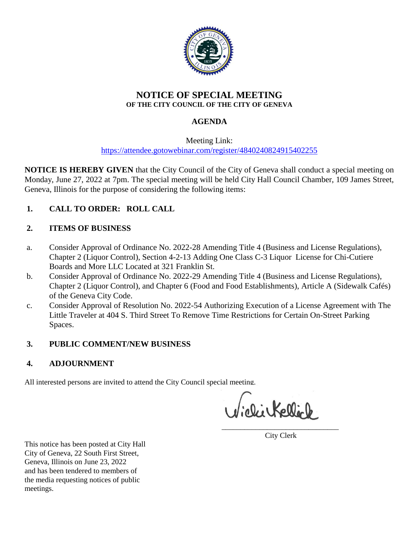

# **NOTICE OF SPECIAL MEETING OF THE CITY COUNCIL OF THE CITY OF GENEVA**

# **AGENDA**

Meeting Link: <https://attendee.gotowebinar.com/register/4840240824915402255>

**NOTICE IS HEREBY GIVEN** that the City Council of the City of Geneva shall conduct a special meeting on Monday, June 27, 2022 at 7pm. The special meeting will be held City Hall Council Chamber, 109 James Street, Geneva, Illinois for the purpose of considering the following items:

# **1. CALL TO ORDER: ROLL CALL**

# **2. ITEMS OF BUSINESS**

- a. Consider Approval of Ordinance No. 2022-28 Amending Title 4 (Business and License Regulations), Chapter 2 (Liquor Control), Section 4-2-13 Adding One Class C-3 Liquor License for Chi-Cutiere Boards and More LLC Located at 321 Franklin St.
- b. Consider Approval of Ordinance No. 2022-29 Amending Title 4 (Business and License Regulations), Chapter 2 (Liquor Control), and Chapter 6 (Food and Food Establishments), Article A (Sidewalk Cafés) of the Geneva City Code.
- c. Consider Approval of Resolution No. 2022-54 Authorizing Execution of a License Agreement with The Little Traveler at 404 S. Third Street To Remove Time Restrictions for Certain On-Street Parking Spaces.

# **3. PUBLIC COMMENT/NEW BUSINESS**

# **4. ADJOURNMENT**

All interested persons are invited to attend the City Council special meeting.

Viclikellick

 $\mathcal{L}_\text{max}$  , where  $\mathcal{L}_\text{max}$  is the set of the set of the set of the set of the set of the set of the set of the set of the set of the set of the set of the set of the set of the set of the set of the set of the se City Clerk

This notice has been posted at City Hall City of Geneva, 22 South First Street, Geneva, Illinois on June 23, 2022 and has been tendered to members of the media requesting notices of public meetings.